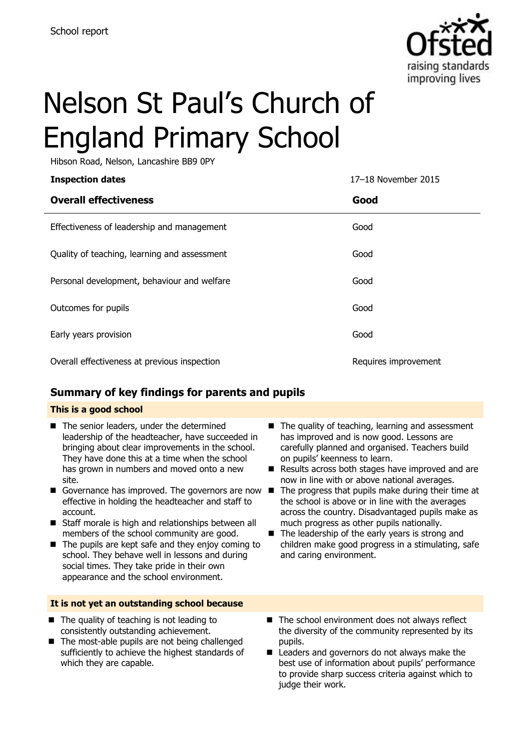

# Nelson St Paul's Church of England Primary School

Hibson Road, Nelson, Lancashire BB9 0PY

| <b>Inspection dates</b>                      | 17-18 November 2015  |
|----------------------------------------------|----------------------|
| <b>Overall effectiveness</b>                 | Good                 |
| Effectiveness of leadership and management   | Good                 |
| Quality of teaching, learning and assessment | Good                 |
| Personal development, behaviour and welfare  | Good                 |
| Outcomes for pupils                          | Good                 |
| Early years provision                        | Good                 |
| Overall effectiveness at previous inspection | Requires improvement |

### **Summary of key findings for parents and pupils**

### **This is a good school**

- The senior leaders, under the determined leadership of the headteacher, have succeeded in bringing about clear improvements in the school. They have done this at a time when the school has grown in numbers and moved onto a new site.
- Governance has improved. The governors are now  $\blacksquare$ effective in holding the headteacher and staff to account.
- Staff morale is high and relationships between all members of the school community are good.
- $\blacksquare$  The pupils are kept safe and they enjoy coming to school. They behave well in lessons and during social times. They take pride in their own appearance and the school environment.

### **It is not yet an outstanding school because**

- $\blacksquare$  The quality of teaching is not leading to consistently outstanding achievement.
- The most-able pupils are not being challenged sufficiently to achieve the highest standards of which they are capable.
- The quality of teaching, learning and assessment has improved and is now good. Lessons are carefully planned and organised. Teachers build on pupils' keenness to learn.
- Results across both stages have improved and are now in line with or above national averages.
- The progress that pupils make during their time at the school is above or in line with the averages across the country. Disadvantaged pupils make as much progress as other pupils nationally.
- $\blacksquare$  The leadership of the early years is strong and children make good progress in a stimulating, safe and caring environment.
- $\blacksquare$  The school environment does not always reflect the diversity of the community represented by its pupils.
- Leaders and governors do not always make the best use of information about pupils' performance to provide sharp success criteria against which to judge their work.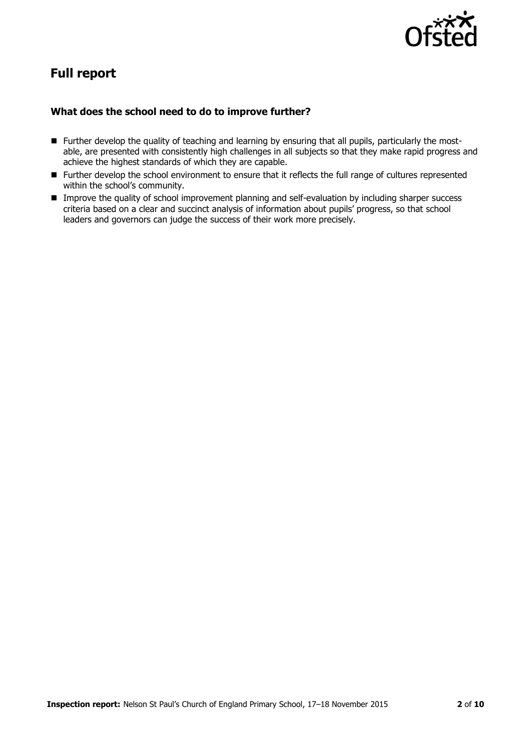

## **Full report**

### **What does the school need to do to improve further?**

- Further develop the quality of teaching and learning by ensuring that all pupils, particularly the mostable, are presented with consistently high challenges in all subjects so that they make rapid progress and achieve the highest standards of which they are capable.
- Further develop the school environment to ensure that it reflects the full range of cultures represented within the school's community.
- **IMP** Improve the quality of school improvement planning and self-evaluation by including sharper success criteria based on a clear and succinct analysis of information about pupils' progress, so that school leaders and governors can judge the success of their work more precisely.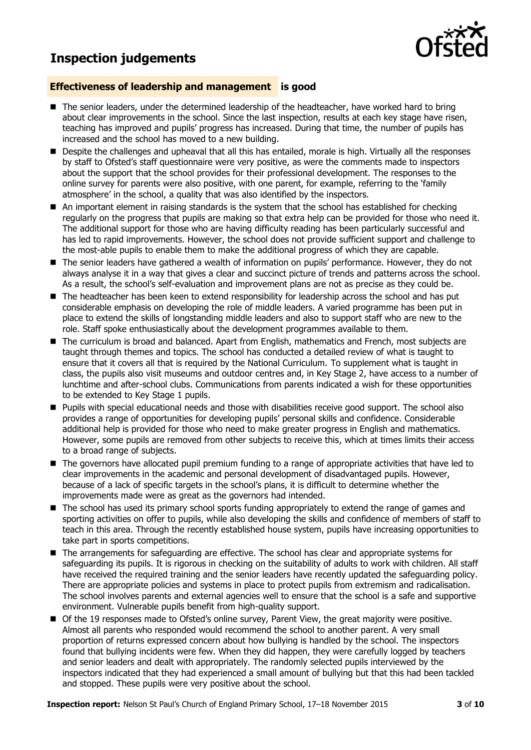### **Inspection judgements**



### **Effectiveness of leadership and management is good**

- The senior leaders, under the determined leadership of the headteacher, have worked hard to bring about clear improvements in the school. Since the last inspection, results at each key stage have risen, teaching has improved and pupils' progress has increased. During that time, the number of pupils has increased and the school has moved to a new building.
- **Despite the challenges and upheaval that all this has entailed, morale is high. Virtually all the responses** by staff to Ofsted's staff questionnaire were very positive, as were the comments made to inspectors about the support that the school provides for their professional development. The responses to the online survey for parents were also positive, with one parent, for example, referring to the 'family atmosphere' in the school, a quality that was also identified by the inspectors.
- An important element in raising standards is the system that the school has established for checking regularly on the progress that pupils are making so that extra help can be provided for those who need it. The additional support for those who are having difficulty reading has been particularly successful and has led to rapid improvements. However, the school does not provide sufficient support and challenge to the most-able pupils to enable them to make the additional progress of which they are capable.
- The senior leaders have gathered a wealth of information on pupils' performance. However, they do not always analyse it in a way that gives a clear and succinct picture of trends and patterns across the school. As a result, the school's self-evaluation and improvement plans are not as precise as they could be.
- The headteacher has been keen to extend responsibility for leadership across the school and has put considerable emphasis on developing the role of middle leaders. A varied programme has been put in place to extend the skills of longstanding middle leaders and also to support staff who are new to the role. Staff spoke enthusiastically about the development programmes available to them.
- The curriculum is broad and balanced. Apart from English, mathematics and French, most subjects are taught through themes and topics. The school has conducted a detailed review of what is taught to ensure that it covers all that is required by the National Curriculum. To supplement what is taught in class, the pupils also visit museums and outdoor centres and, in Key Stage 2, have access to a number of lunchtime and after-school clubs. Communications from parents indicated a wish for these opportunities to be extended to Key Stage 1 pupils.
- Pupils with special educational needs and those with disabilities receive good support. The school also provides a range of opportunities for developing pupils' personal skills and confidence. Considerable additional help is provided for those who need to make greater progress in English and mathematics. However, some pupils are removed from other subjects to receive this, which at times limits their access to a broad range of subjects.
- The governors have allocated pupil premium funding to a range of appropriate activities that have led to clear improvements in the academic and personal development of disadvantaged pupils. However, because of a lack of specific targets in the school's plans, it is difficult to determine whether the improvements made were as great as the governors had intended.
- The school has used its primary school sports funding appropriately to extend the range of games and sporting activities on offer to pupils, while also developing the skills and confidence of members of staff to teach in this area. Through the recently established house system, pupils have increasing opportunities to take part in sports competitions.
- The arrangements for safeguarding are effective. The school has clear and appropriate systems for safeguarding its pupils. It is rigorous in checking on the suitability of adults to work with children. All staff have received the required training and the senior leaders have recently updated the safeguarding policy. There are appropriate policies and systems in place to protect pupils from extremism and radicalisation. The school involves parents and external agencies well to ensure that the school is a safe and supportive environment. Vulnerable pupils benefit from high-quality support.
- Of the 19 responses made to Ofsted's online survey, Parent View, the great majority were positive. Almost all parents who responded would recommend the school to another parent. A very small proportion of returns expressed concern about how bullying is handled by the school. The inspectors found that bullying incidents were few. When they did happen, they were carefully logged by teachers and senior leaders and dealt with appropriately. The randomly selected pupils interviewed by the inspectors indicated that they had experienced a small amount of bullying but that this had been tackled and stopped. These pupils were very positive about the school.

**Inspection report:** Nelson St Paul's Church of England Primary School, 17–18 November 2015 **3** of **10**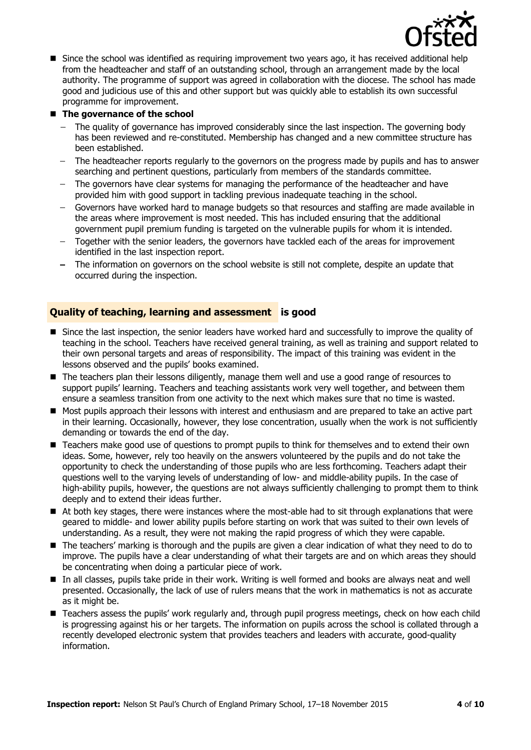

**Since the school was identified as requiring improvement two years ago, it has received additional help** from the headteacher and staff of an outstanding school, through an arrangement made by the local authority. The programme of support was agreed in collaboration with the diocese. The school has made good and judicious use of this and other support but was quickly able to establish its own successful programme for improvement.

### ■ The governance of the school

- The quality of governance has improved considerably since the last inspection. The governing body has been reviewed and re-constituted. Membership has changed and a new committee structure has been established.
- $\overline{a}$ The headteacher reports regularly to the governors on the progress made by pupils and has to answer searching and pertinent questions, particularly from members of the standards committee.
- The governors have clear systems for managing the performance of the headteacher and have provided him with good support in tackling previous inadequate teaching in the school.
- Governors have worked hard to manage budgets so that resources and staffing are made available in the areas where improvement is most needed. This has included ensuring that the additional government pupil premium funding is targeted on the vulnerable pupils for whom it is intended.
- $\frac{1}{2}$ Together with the senior leaders, the governors have tackled each of the areas for improvement identified in the last inspection report.
- The information on governors on the school website is still not complete, despite an update that occurred during the inspection.

### **Quality of teaching, learning and assessment is good**

- Since the last inspection, the senior leaders have worked hard and successfully to improve the quality of teaching in the school. Teachers have received general training, as well as training and support related to their own personal targets and areas of responsibility. The impact of this training was evident in the lessons observed and the pupils' books examined.
- The teachers plan their lessons diligently, manage them well and use a good range of resources to support pupils' learning. Teachers and teaching assistants work very well together, and between them ensure a seamless transition from one activity to the next which makes sure that no time is wasted.
- Most pupils approach their lessons with interest and enthusiasm and are prepared to take an active part in their learning. Occasionally, however, they lose concentration, usually when the work is not sufficiently demanding or towards the end of the day.
- Teachers make good use of questions to prompt pupils to think for themselves and to extend their own ideas. Some, however, rely too heavily on the answers volunteered by the pupils and do not take the opportunity to check the understanding of those pupils who are less forthcoming. Teachers adapt their questions well to the varying levels of understanding of low- and middle-ability pupils. In the case of high-ability pupils, however, the questions are not always sufficiently challenging to prompt them to think deeply and to extend their ideas further.
- At both key stages, there were instances where the most-able had to sit through explanations that were geared to middle- and lower ability pupils before starting on work that was suited to their own levels of understanding. As a result, they were not making the rapid progress of which they were capable.
- The teachers' marking is thorough and the pupils are given a clear indication of what they need to do to improve. The pupils have a clear understanding of what their targets are and on which areas they should be concentrating when doing a particular piece of work.
- In all classes, pupils take pride in their work. Writing is well formed and books are always neat and well presented. Occasionally, the lack of use of rulers means that the work in mathematics is not as accurate as it might be.
- **Teachers assess the pupils' work regularly and, through pupil progress meetings, check on how each child** is progressing against his or her targets. The information on pupils across the school is collated through a recently developed electronic system that provides teachers and leaders with accurate, good-quality information.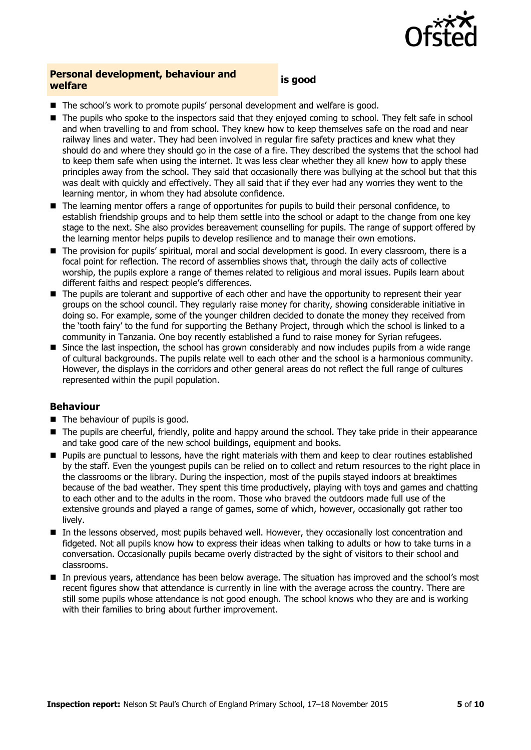

## **Personal development, behaviour and welfare is good**

- The school's work to promote pupils' personal development and welfare is good.
- The pupils who spoke to the inspectors said that they enjoyed coming to school. They felt safe in school and when travelling to and from school. They knew how to keep themselves safe on the road and near railway lines and water. They had been involved in regular fire safety practices and knew what they should do and where they should go in the case of a fire. They described the systems that the school had to keep them safe when using the internet. It was less clear whether they all knew how to apply these principles away from the school. They said that occasionally there was bullying at the school but that this was dealt with quickly and effectively. They all said that if they ever had any worries they went to the learning mentor, in whom they had absolute confidence.
- The learning mentor offers a range of opportunites for pupils to build their personal confidence, to establish friendship groups and to help them settle into the school or adapt to the change from one key stage to the next. She also provides bereavement counselling for pupils. The range of support offered by the learning mentor helps pupils to develop resilience and to manage their own emotions.
- The provision for pupils' spiritual, moral and social development is good. In every classroom, there is a focal point for reflection. The record of assemblies shows that, through the daily acts of collective worship, the pupils explore a range of themes related to religious and moral issues. Pupils learn about different faiths and respect people's differences.
- The pupils are tolerant and supportive of each other and have the opportunity to represent their year groups on the school council. They regularly raise money for charity, showing considerable initiative in doing so. For example, some of the younger children decided to donate the money they received from the 'tooth fairy' to the fund for supporting the Bethany Project, through which the school is linked to a community in Tanzania. One boy recently established a fund to raise money for Syrian refugees.
- $\blacksquare$  Since the last inspection, the school has grown considerably and now includes pupils from a wide range of cultural backgrounds. The pupils relate well to each other and the school is a harmonious community. However, the displays in the corridors and other general areas do not reflect the full range of cultures represented within the pupil population.

### **Behaviour**

- $\blacksquare$  The behaviour of pupils is good.
- The pupils are cheerful, friendly, polite and happy around the school. They take pride in their appearance and take good care of the new school buildings, equipment and books.
- Pupils are punctual to lessons, have the right materials with them and keep to clear routines established by the staff. Even the youngest pupils can be relied on to collect and return resources to the right place in the classrooms or the library. During the inspection, most of the pupils stayed indoors at breaktimes because of the bad weather. They spent this time productively, playing with toys and games and chatting to each other and to the adults in the room. Those who braved the outdoors made full use of the extensive grounds and played a range of games, some of which, however, occasionally got rather too lively.
- In the lessons observed, most pupils behaved well. However, they occasionally lost concentration and fidgeted. Not all pupils know how to express their ideas when talking to adults or how to take turns in a conversation. Occasionally pupils became overly distracted by the sight of visitors to their school and classrooms.
- In previous years, attendance has been below average. The situation has improved and the school's most recent figures show that attendance is currently in line with the average across the country. There are still some pupils whose attendance is not good enough. The school knows who they are and is working with their families to bring about further improvement.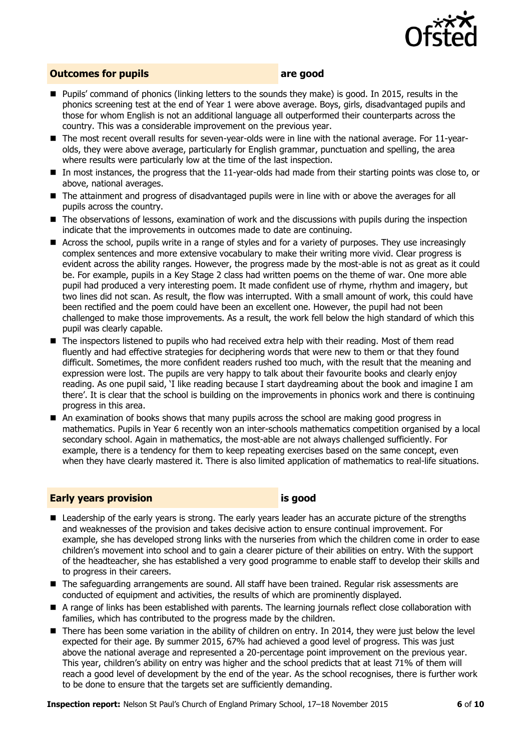

### **Outcomes for pupils area area area area are**

- Pupils' command of phonics (linking letters to the sounds they make) is good. In 2015, results in the phonics screening test at the end of Year 1 were above average. Boys, girls, disadvantaged pupils and those for whom English is not an additional language all outperformed their counterparts across the country. This was a considerable improvement on the previous year.
- The most recent overall results for seven-year-olds were in line with the national average. For 11-yearolds, they were above average, particularly for English grammar, punctuation and spelling, the area where results were particularly low at the time of the last inspection.
- In most instances, the progress that the 11-year-olds had made from their starting points was close to, or above, national averages.
- The attainment and progress of disadvantaged pupils were in line with or above the averages for all pupils across the country.
- The observations of lessons, examination of work and the discussions with pupils during the inspection indicate that the improvements in outcomes made to date are continuing.
- Across the school, pupils write in a range of styles and for a variety of purposes. They use increasingly complex sentences and more extensive vocabulary to make their writing more vivid. Clear progress is evident across the ability ranges. However, the progress made by the most-able is not as great as it could be. For example, pupils in a Key Stage 2 class had written poems on the theme of war. One more able pupil had produced a very interesting poem. It made confident use of rhyme, rhythm and imagery, but two lines did not scan. As result, the flow was interrupted. With a small amount of work, this could have been rectified and the poem could have been an excellent one. However, the pupil had not been challenged to make those improvements. As a result, the work fell below the high standard of which this pupil was clearly capable.
- The inspectors listened to pupils who had received extra help with their reading. Most of them read fluently and had effective strategies for deciphering words that were new to them or that they found difficult. Sometimes, the more confident readers rushed too much, with the result that the meaning and expression were lost. The pupils are very happy to talk about their favourite books and clearly enjoy reading. As one pupil said, 'I like reading because I start daydreaming about the book and imagine I am there'. It is clear that the school is building on the improvements in phonics work and there is continuing progress in this area.
- An examination of books shows that many pupils across the school are making good progress in mathematics. Pupils in Year 6 recently won an inter-schools mathematics competition organised by a local secondary school. Again in mathematics, the most-able are not always challenged sufficiently. For example, there is a tendency for them to keep repeating exercises based on the same concept, even when they have clearly mastered it. There is also limited application of mathematics to real-life situations.

### **Early years provision is good**

- Leadership of the early years is strong. The early years leader has an accurate picture of the strengths and weaknesses of the provision and takes decisive action to ensure continual improvement. For example, she has developed strong links with the nurseries from which the children come in order to ease children's movement into school and to gain a clearer picture of their abilities on entry. With the support of the headteacher, she has established a very good programme to enable staff to develop their skills and to progress in their careers.
- The safequarding arrangements are sound. All staff have been trained. Regular risk assessments are conducted of equipment and activities, the results of which are prominently displayed.
- A range of links has been established with parents. The learning journals reflect close collaboration with families, which has contributed to the progress made by the children.
- There has been some variation in the ability of children on entry. In 2014, they were just below the level expected for their age. By summer 2015, 67% had achieved a good level of progress. This was just above the national average and represented a 20-percentage point improvement on the previous year. This year, children's ability on entry was higher and the school predicts that at least 71% of them will reach a good level of development by the end of the year. As the school recognises, there is further work to be done to ensure that the targets set are sufficiently demanding.

**Inspection report:** Nelson St Paul's Church of England Primary School, 17–18 November 2015 **6** of **10**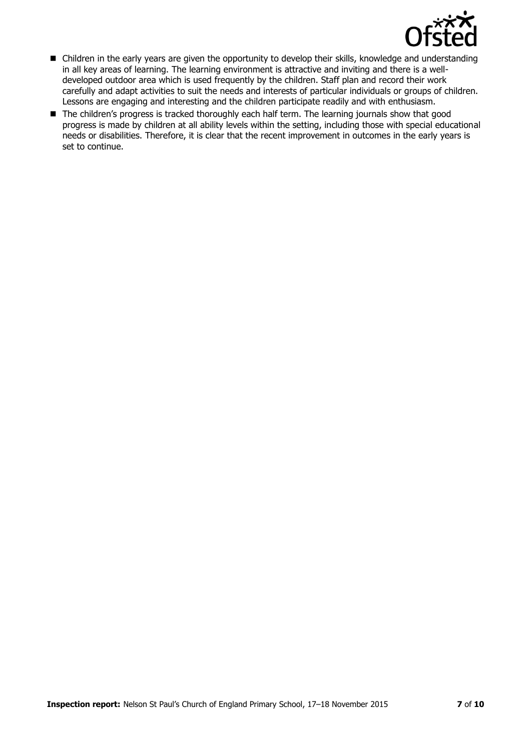

- Children in the early years are given the opportunity to develop their skills, knowledge and understanding in all key areas of learning. The learning environment is attractive and inviting and there is a welldeveloped outdoor area which is used frequently by the children. Staff plan and record their work carefully and adapt activities to suit the needs and interests of particular individuals or groups of children. Lessons are engaging and interesting and the children participate readily and with enthusiasm.
- The children's progress is tracked thoroughly each half term. The learning journals show that good progress is made by children at all ability levels within the setting, including those with special educational needs or disabilities. Therefore, it is clear that the recent improvement in outcomes in the early years is set to continue.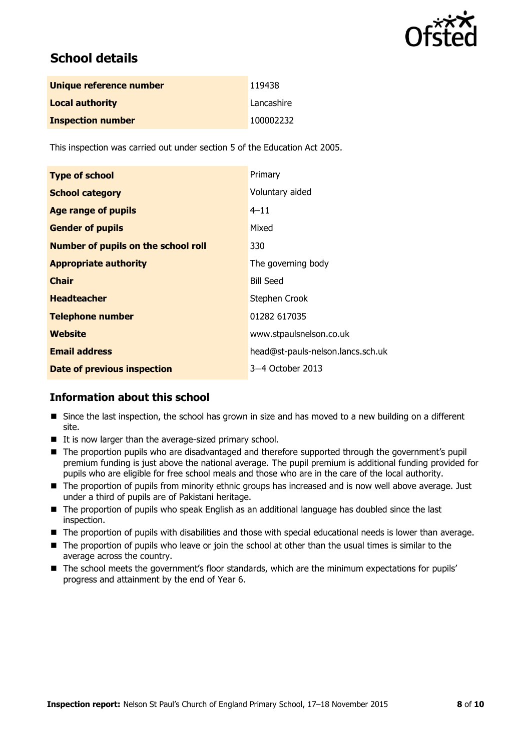

## **School details**

| Unique reference number  | 119438     |
|--------------------------|------------|
| <b>Local authority</b>   | Lancashire |
| <b>Inspection number</b> | 100002232  |

This inspection was carried out under section 5 of the Education Act 2005.

| <b>Type of school</b>                      | Primary                           |
|--------------------------------------------|-----------------------------------|
| <b>School category</b>                     | Voluntary aided                   |
| <b>Age range of pupils</b>                 | $4 - 11$                          |
| <b>Gender of pupils</b>                    | Mixed                             |
| <b>Number of pupils on the school roll</b> | 330                               |
| <b>Appropriate authority</b>               | The governing body                |
| <b>Chair</b>                               | <b>Bill Seed</b>                  |
| <b>Headteacher</b>                         | Stephen Crook                     |
| <b>Telephone number</b>                    | 01282 617035                      |
| Website                                    | www.stpaulsnelson.co.uk           |
| <b>Email address</b>                       | head@st-pauls-nelson.lancs.sch.uk |
| <b>Date of previous inspection</b>         | 3–4 October 2013                  |

### **Information about this school**

- **Since the last inspection, the school has grown in size and has moved to a new building on a different** site.
- $\blacksquare$  It is now larger than the average-sized primary school.
- The proportion pupils who are disadvantaged and therefore supported through the government's pupil premium funding is just above the national average. The pupil premium is additional funding provided for pupils who are eligible for free school meals and those who are in the care of the local authority.
- The proportion of pupils from minority ethnic groups has increased and is now well above average. Just under a third of pupils are of Pakistani heritage.
- The proportion of pupils who speak English as an additional language has doubled since the last inspection.
- The proportion of pupils with disabilities and those with special educational needs is lower than average.
- The proportion of pupils who leave or join the school at other than the usual times is similar to the average across the country.
- $\blacksquare$  The school meets the government's floor standards, which are the minimum expectations for pupils' progress and attainment by the end of Year 6.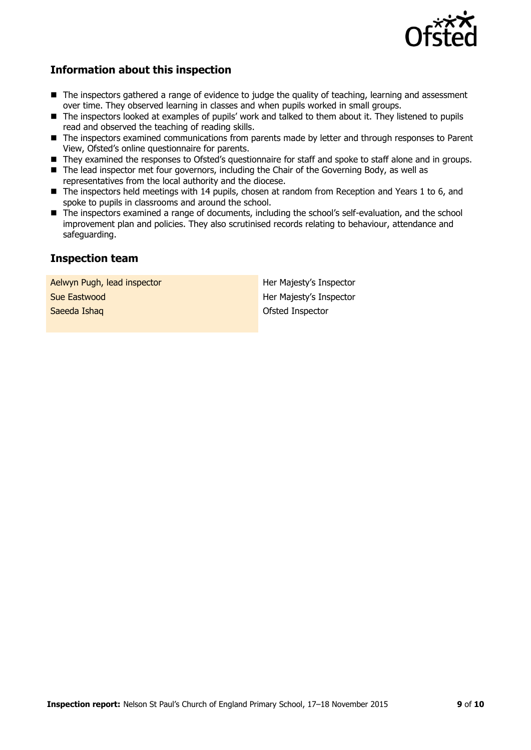

### **Information about this inspection**

- The inspectors gathered a range of evidence to judge the quality of teaching, learning and assessment over time. They observed learning in classes and when pupils worked in small groups.
- The inspectors looked at examples of pupils' work and talked to them about it. They listened to pupils read and observed the teaching of reading skills.
- The inspectors examined communications from parents made by letter and through responses to Parent View, Ofsted's online questionnaire for parents.
- They examined the responses to Ofsted's questionnaire for staff and spoke to staff alone and in groups.
- The lead inspector met four governors, including the Chair of the Governing Body, as well as representatives from the local authority and the diocese.
- The inspectors held meetings with 14 pupils, chosen at random from Reception and Years 1 to 6, and spoke to pupils in classrooms and around the school.
- The inspectors examined a range of documents, including the school's self-evaluation, and the school improvement plan and policies. They also scrutinised records relating to behaviour, attendance and safeguarding.

### **Inspection team**

Aelwyn Pugh, lead inspector **Her Majesty's Inspector Sue Eastwood Sue Eastwood Eastwood Eastwood Eastwood Eastwood Eastwood Eastwood Eastwood Eastwood Eastwood Eastwood Eastwood Eastwood Eastwood Eastwood Eastwood Eastwood Eastwood Eastwood Eastwood Eastwood Eastwood Eastwo Saeeda Ishaq Changes Ishaq Changes Islam Changes Islam Changes Islam Changes Islam Changes Islam Changes Islam Changes Islam Changes Islam Changes Islam Changes Islam Changes Islam Changes Islam Changes Islam Changes Isla**